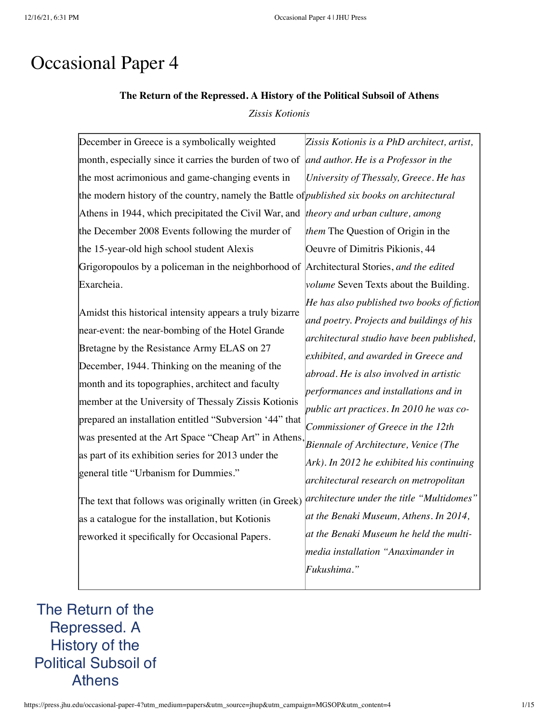# Occasional Paper 4

# **The Return of the Repressed. A History of the Political Subsoil of Athens** *Zissis Kotionis*

| December in Greece is a symbolically weighted                                                       | Zissis Kotionis is a PhD architect, artist,   |
|-----------------------------------------------------------------------------------------------------|-----------------------------------------------|
| month, especially since it carries the burden of two of                                             | and author. He is a Professor in the          |
| the most acrimonious and game-changing events in                                                    | University of Thessaly, Greece. He has        |
| the modern history of the country, namely the Battle of <i>published six books on architectural</i> |                                               |
| Athens in 1944, which precipitated the Civil War, and <i>theory and urban culture, among</i>        |                                               |
| the December 2008 Events following the murder of                                                    | them The Question of Origin in the            |
| the 15-year-old high school student Alexis                                                          | Oeuvre of Dimitris Pikionis, 44               |
| Grigoropoulos by a policeman in the neighborhood of Architectural Stories, and the edited           |                                               |
| Exarcheia.                                                                                          | <i>volume</i> Seven Texts about the Building. |
|                                                                                                     | He has also published two books of fiction    |
| Amidst this historical intensity appears a truly bizarre                                            | and poetry. Projects and buildings of his     |
| near-event: the near-bombing of the Hotel Grande                                                    | architectural studio have been published,     |
| Bretagne by the Resistance Army ELAS on 27                                                          | exhibited, and awarded in Greece and          |
| December, 1944. Thinking on the meaning of the                                                      | abroad. He is also involved in artistic       |
| month and its topographies, architect and faculty                                                   | performances and installations and in         |
| member at the University of Thessaly Zissis Kotionis                                                | public art practices. In 2010 he was co-      |
| prepared an installation entitled "Subversion '44" that                                             | Commissioner of Greece in the 12th            |
| was presented at the Art Space "Cheap Art" in Athens,                                               | Biennale of Architecture, Venice (The         |
| as part of its exhibition series for 2013 under the                                                 | $Ark$ ). In 2012 he exhibited his continuing  |
| general title "Urbanism for Dummies."                                                               | architectural research on metropolitan        |
|                                                                                                     | architecture under the title "Multidomes"     |
| The text that follows was originally written (in Greek)                                             | at the Benaki Museum, Athens. In 2014,        |
| as a catalogue for the installation, but Kotionis                                                   |                                               |
| reworked it specifically for Occasional Papers.                                                     | at the Benaki Museum he held the multi-       |
|                                                                                                     | media installation "Anaximander in            |
|                                                                                                     | Fukushima."                                   |
|                                                                                                     |                                               |

# The Return of the Repressed. A History of the Political Subsoil of Athens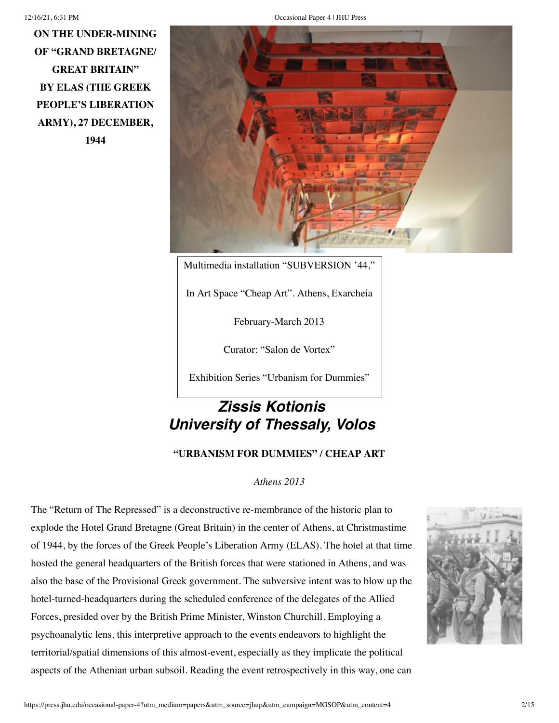**ON THE UNDER-MINING OF "GRAND BRETAGNE/ GREAT BRITAIN" BY ELAS (THE GREEK PEOPLE'S LIBERATION ARMY), 27 DECEMBER, 1944**

12/16/21, 6:31 PM Occasional Paper 4 | JHU Press



Multimedia installation "SUBVERSION '44,"

In Art Space "Cheap Art". Athens, Exarcheia

February-March 2013

Curator: "Salon de Vortex"

Exhibition Series "Urbanism for Dummies"

# *Zissis Kotionis University of Thessaly, Volos*

**"URBANISM FOR DUMMIES" / CHEAP ART**

*Athens 2013*

The "Return of The Repressed" is a deconstructive re-membrance of the historic plan to explode the Hotel Grand Bretagne (Great Britain) in the center of Athens, at Christmastime of 1944, by the forces of the Greek People's Liberation Army (ELAS). The hotel at that time hosted the general headquarters of the British forces that were stationed in Athens, and was also the base of the Provisional Greek government. The subversive intent was to blow up the hotel-turned-headquarters during the scheduled conference of the delegates of the Allied Forces, presided over by the British Prime Minister, Winston Churchill. Employing a psychoanalytic lens, this interpretive approach to the events endeavors to highlight the territorial/spatial dimensions of this almost-event, especially as they implicate the political aspects of the Athenian urban subsoil. Reading the event retrospectively in this way, one can

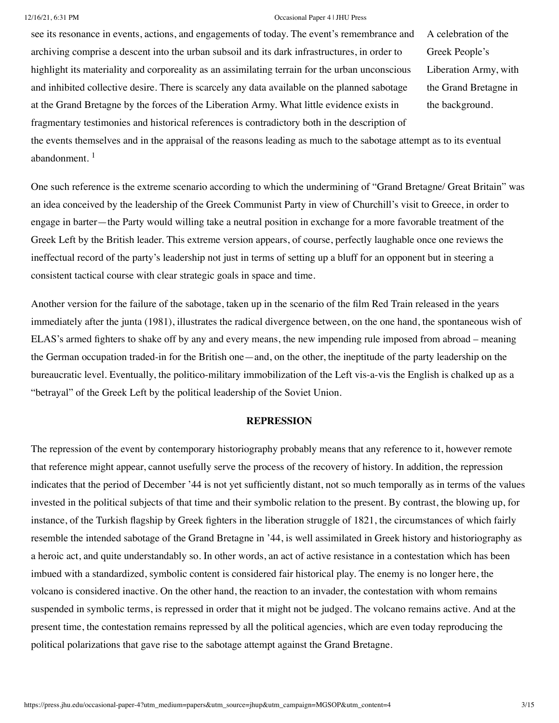see its resonance in events, actions, and engagements of today. The event's remembrance and archiving comprise a descent into the urban subsoil and its dark infrastructures, in order to highlight its materiality and corporeality as an assimilating terrain for the urban unconscious and inhibited collective desire. There is scarcely any data available on the planned sabotage at the Grand Bretagne by the forces of the Liberation Army. What little evidence exists in fragmentary testimonies and historical references is contradictory both in the description of

A celebration of the Greek People's Liberation Army, with the Grand Bretagne in the background.

the events themselves and in the appraisal of the reasons leading as much to the sabotage attempt as to its eventual abandonment.<sup>[1](https://press.jhu.edu/occasional-paper-4?utm_medium=papers&utm_source=jhup&utm_campaign=MGSOP&utm_content=4#note1)</sup>

One such reference is the extreme scenario according to which the undermining of "Grand Bretagne/ Great Britain" was an idea conceived by the leadership of the Greek Communist Party in view of Churchill's visit to Greece, in order to engage in barter—the Party would willing take a neutral position in exchange for a more favorable treatment of the Greek Left by the British leader. This extreme version appears, of course, perfectly laughable once one reviews the ineffectual record of the party's leadership not just in terms of setting up a bluff for an opponent but in steering a consistent tactical course with clear strategic goals in space and time.

Another version for the failure of the sabotage, taken up in the scenario of the film Red Train released in the years immediately after the junta (1981), illustrates the radical divergence between, on the one hand, the spontaneous wish of ELAS's armed fighters to shake off by any and every means, the new impending rule imposed from abroad – meaning the German occupation traded-in for the British one—and, on the other, the ineptitude of the party leadership on the bureaucratic level. Eventually, the politico-military immobilization of the Left vis-a-vis the English is chalked up as a "betrayal" of the Greek Left by the political leadership of the Soviet Union.

## **REPRESSION**

The repression of the event by contemporary historiography probably means that any reference to it, however remote that reference might appear, cannot usefully serve the process of the recovery of history. In addition, the repression indicates that the period of December '44 is not yet sufficiently distant, not so much temporally as in terms of the values invested in the political subjects of that time and their symbolic relation to the present. By contrast, the blowing up, for instance, of the Turkish flagship by Greek fighters in the liberation struggle of 1821, the circumstances of which fairly resemble the intended sabotage of the Grand Bretagne in '44, is well assimilated in Greek history and historiography as a heroic act, and quite understandably so. In other words, an act of active resistance in a contestation which has been imbued with a standardized, symbolic content is considered fair historical play. The enemy is no longer here, the volcano is considered inactive. On the other hand, the reaction to an invader, the contestation with whom remains suspended in symbolic terms, is repressed in order that it might not be judged. The volcano remains active. And at the present time, the contestation remains repressed by all the political agencies, which are even today reproducing the political polarizations that gave rise to the sabotage attempt against the Grand Bretagne.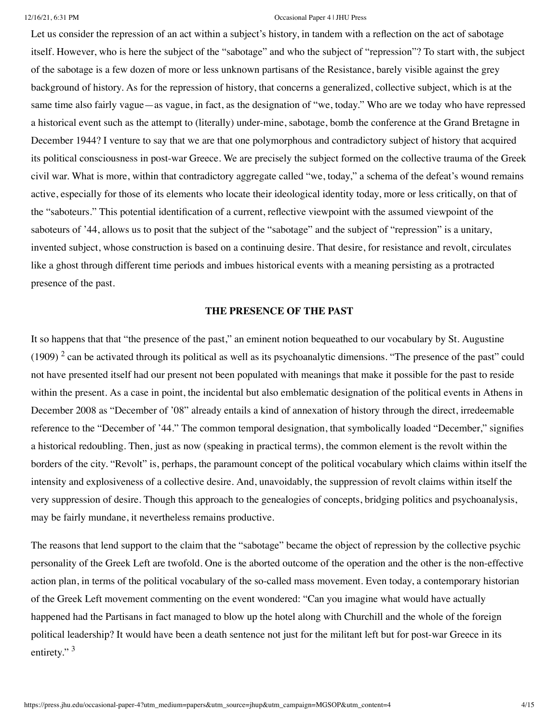Let us consider the repression of an act within a subject's history, in tandem with a reflection on the act of sabotage itself. However, who is here the subject of the "sabotage" and who the subject of "repression"? To start with, the subject of the sabotage is a few dozen of more or less unknown partisans of the Resistance, barely visible against the grey background of history. As for the repression of history, that concerns a generalized, collective subject, which is at the same time also fairly vague—as vague, in fact, as the designation of "we, today." Who are we today who have repressed a historical event such as the attempt to (literally) under-mine, sabotage, bomb the conference at the Grand Bretagne in December 1944? I venture to say that we are that one polymorphous and contradictory subject of history that acquired its political consciousness in post-war Greece. We are precisely the subject formed on the collective trauma of the Greek civil war. What is more, within that contradictory aggregate called "we, today," a schema of the defeat's wound remains active, especially for those of its elements who locate their ideological identity today, more or less critically, on that of the "saboteurs." This potential identification of a current, reflective viewpoint with the assumed viewpoint of the saboteurs of '44, allows us to posit that the subject of the "sabotage" and the subject of "repression" is a unitary, invented subject, whose construction is based on a continuing desire. That desire, for resistance and revolt, circulates like a ghost through different time periods and imbues historical events with a meaning persisting as a protracted presence of the past.

## **THE PRESENCE OF THE PAST**

It so happens that that "the presence of the past," an eminent notion bequeathed to our vocabulary by St. Augustine  $(1909)$ <sup>[2](https://press.jhu.edu/occasional-paper-4?utm_medium=papers&utm_source=jhup&utm_campaign=MGSOP&utm_content=4#note2)</sup> can be activated through its political as well as its psychoanalytic dimensions. "The presence of the past" could not have presented itself had our present not been populated with meanings that make it possible for the past to reside within the present. As a case in point, the incidental but also emblematic designation of the political events in Athens in December 2008 as "December of '08" already entails a kind of annexation of history through the direct, irredeemable reference to the "December of '44." The common temporal designation, that symbolically loaded "December," signifies a historical redoubling. Then, just as now (speaking in practical terms), the common element is the revolt within the borders of the city. "Revolt" is, perhaps, the paramount concept of the political vocabulary which claims within itself the intensity and explosiveness of a collective desire. And, unavoidably, the suppression of revolt claims within itself the very suppression of desire. Though this approach to the genealogies of concepts, bridging politics and psychoanalysis, may be fairly mundane, it nevertheless remains productive.

The reasons that lend support to the claim that the "sabotage" became the object of repression by the collective psychic personality of the Greek Left are twofold. One is the aborted outcome of the operation and the other is the non-effective action plan, in terms of the political vocabulary of the so-called mass movement. Even today, a contemporary historian of the Greek Left movement commenting on the event wondered: "Can you imagine what would have actually happened had the Partisans in fact managed to blow up the hotel along with Churchill and the whole of the foreign political leadership? It would have been a death sentence not just for the militant left but for post-war Greece in its entirety."<sup>[3](https://press.jhu.edu/occasional-paper-4?utm_medium=papers&utm_source=jhup&utm_campaign=MGSOP&utm_content=4#note3)</sup>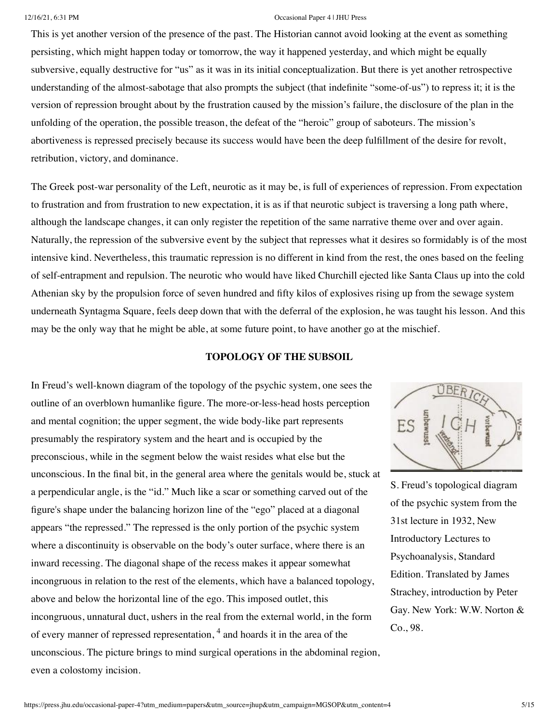This is yet another version of the presence of the past. The Historian cannot avoid looking at the event as something persisting, which might happen today or tomorrow, the way it happened yesterday, and which might be equally subversive, equally destructive for "us" as it was in its initial conceptualization. But there is yet another retrospective understanding of the almost-sabotage that also prompts the subject (that indefinite "some-of-us") to repress it; it is the version of repression brought about by the frustration caused by the mission's failure, the disclosure of the plan in the unfolding of the operation, the possible treason, the defeat of the "heroic" group of saboteurs. The mission's abortiveness is repressed precisely because its success would have been the deep fulfillment of the desire for revolt, retribution, victory, and dominance.

The Greek post-war personality of the Left, neurotic as it may be, is full of experiences of repression. From expectation to frustration and from frustration to new expectation, it is as if that neurotic subject is traversing a long path where, although the landscape changes, it can only register the repetition of the same narrative theme over and over again. Naturally, the repression of the subversive event by the subject that represses what it desires so formidably is of the most intensive kind. Nevertheless, this traumatic repression is no different in kind from the rest, the ones based on the feeling of self-entrapment and repulsion. The neurotic who would have liked Churchill ejected like Santa Claus up into the cold Athenian sky by the propulsion force of seven hundred and fifty kilos of explosives rising up from the sewage system underneath Syntagma Square, feels deep down that with the deferral of the explosion, he was taught his lesson. And this may be the only way that he might be able, at some future point, to have another go at the mischief.

# **TOPOLOGY OF THE SUBSOIL**

In Freud's well-known diagram of the topology of the psychic system, one sees the outline of an overblown humanlike figure. The more-or-less-head hosts perception and mental cognition; the upper segment, the wide body-like part represents presumably the respiratory system and the heart and is occupied by the preconscious, while in the segment below the waist resides what else but the unconscious. In the final bit, in the general area where the genitals would be, stuck at a perpendicular angle, is the "id." Much like a scar or something carved out of the figure's shape under the balancing horizon line of the "ego" placed at a diagonal appears "the repressed." The repressed is the only portion of the psychic system where a discontinuity is observable on the body's outer surface, where there is an inward recessing. The diagonal shape of the recess makes it appear somewhat incongruous in relation to the rest of the elements, which have a balanced topology, above and below the horizontal line of the ego. This imposed outlet, this incongruous, unnatural duct, ushers in the real from the external world, in the form of every manner of repressed representation,  $4$  and hoards it in the area of the unconscious. The picture brings to mind surgical operations in the abdominal region, even a colostomy incision.



S. Freud's topological diagram of the psychic system from the 31st lecture in 1932, New Introductory Lectures to Psychoanalysis, Standard Edition. Translated by James Strachey, introduction by Peter Gay. New York: W.W. Norton & Co., 98.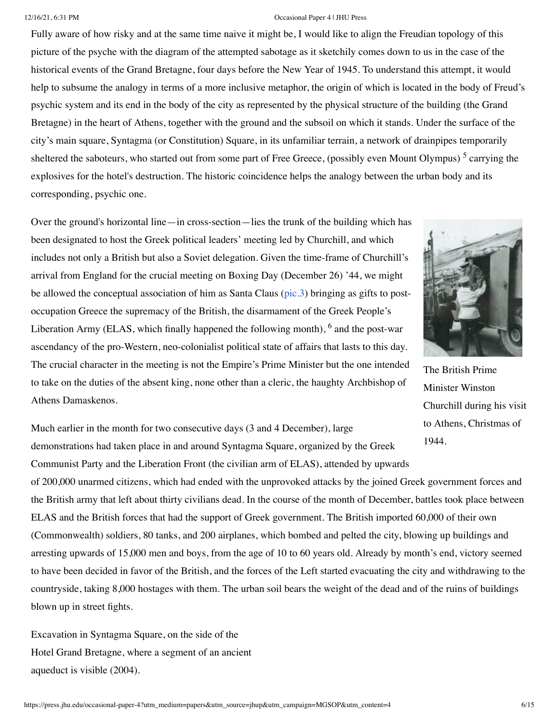Fully aware of how risky and at the same time naive it might be, I would like to align the Freudian topology of this picture of the psyche with the diagram of the attempted sabotage as it sketchily comes down to us in the case of the historical events of the Grand Bretagne, four days before the New Year of 1945. To understand this attempt, it would help to subsume the analogy in terms of a more inclusive metaphor, the origin of which is located in the body of Freud's psychic system and its end in the body of the city as represented by the physical structure of the building (the Grand Bretagne) in the heart of Athens, together with the ground and the subsoil on which it stands. Under the surface of the city's main square, Syntagma (or Constitution) Square, in its unfamiliar terrain, a network of drainpipes temporarily sheltered the saboteurs, who started out from some part of Free Greece, (possibly even Mount Olympus)<sup>[5](https://press.jhu.edu/occasional-paper-4?utm_medium=papers&utm_source=jhup&utm_campaign=MGSOP&utm_content=4#note5)</sup> carrying the explosives for the hotel's destruction. The historic coincidence helps the analogy between the urban body and its corresponding, psychic one.

Over the ground's horizontal line—in cross-section—lies the trunk of the building which has been designated to host the Greek political leaders' meeting led by Churchill, and which includes not only a British but also a Soviet delegation. Given the time-frame of Churchill's arrival from England for the crucial meeting on Boxing Day (December 26) '44, we might be allowed the conceptual association of him as Santa Claus ([pic.3](https://press.jhu.edu/occasional-paper-4?utm_medium=papers&utm_source=jhup&utm_campaign=MGSOP&utm_content=4#pic3)) bringing as gifts to postoccupation Greece the supremacy of the British, the disarmament of the Greek People's Liberation Army (ELAS, which finally happened the following month),  $<sup>6</sup>$  $<sup>6</sup>$  $<sup>6</sup>$  and the post-war</sup> ascendancy of the pro-Western, neo-colonialist political state of affairs that lasts to this day. The crucial character in the meeting is not the Empire's Prime Minister but the one intended to take on the duties of the absent king, none other than a cleric, the haughty Archbishop of Athens Damaskenos.



The British Prime Minister Winston Churchill during his visit to Athens, Christmas of 1944.

Much earlier in the month for two consecutive days (3 and 4 December), large demonstrations had taken place in and around Syntagma Square, organized by the Greek Communist Party and the Liberation Front (the civilian arm of ELAS), attended by upwards

of 200,000 unarmed citizens, which had ended with the unprovoked attacks by the joined Greek government forces and the British army that left about thirty civilians dead. In the course of the month of December, battles took place between ELAS and the British forces that had the support of Greek government. The British imported 60,000 of their own (Commonwealth) soldiers, 80 tanks, and 200 airplanes, which bombed and pelted the city, blowing up buildings and arresting upwards of 15,000 men and boys, from the age of 10 to 60 years old. Already by month's end, victory seemed to have been decided in favor of the British, and the forces of the Left started evacuating the city and withdrawing to the countryside, taking 8,000 hostages with them. The urban soil bears the weight of the dead and of the ruins of buildings blown up in street fights.

Excavation in Syntagma Square, on the side of the Hotel Grand Bretagne, where a segment of an ancient aqueduct is visible (2004).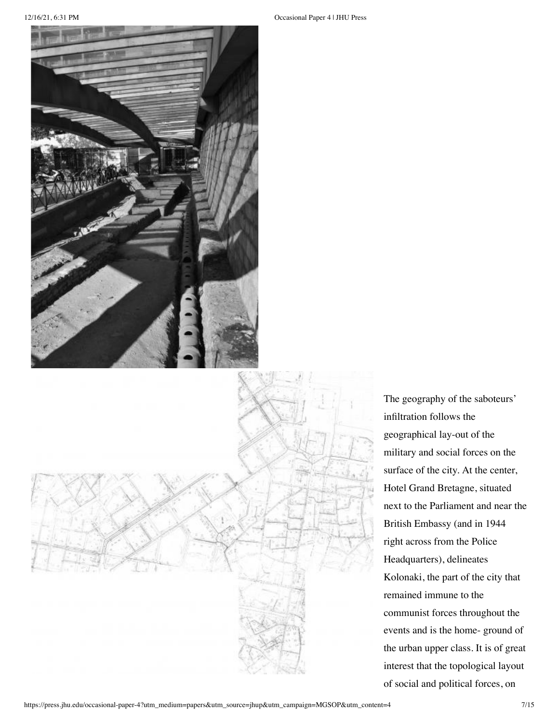

The geography of the saboteurs' infiltration follows the geographical lay-out of the military and social forces on the surface of the city. At the center, Hotel Grand Bretagne, situated next to the Parliament and near the British Embassy (and in 1944 right across from the Police Headquarters), delineates Kolonaki, the part of the city that remained immune to the communist forces throughout the events and is the home- ground of the urban upper class. It is of great interest that the topological layout of social and political forces, on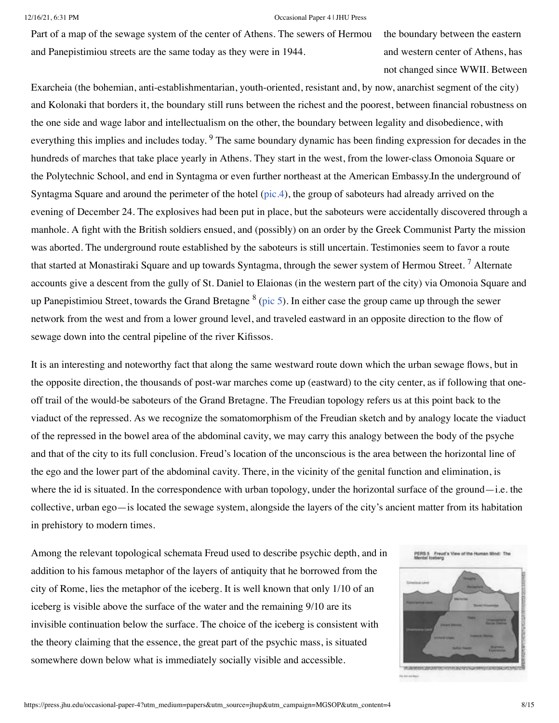Part of a map of the sewage system of the center of Athens. The sewers of Hermou and Panepistimiou streets are the same today as they were in 1944.

the boundary between the eastern and western center of Athens, has not changed since WWII. Between

Exarcheia (the bohemian, anti-establishmentarian, youth-oriented, resistant and, by now, anarchist segment of the city) and Kolonaki that borders it, the boundary still runs between the richest and the poorest, between financial robustness on the one side and wage labor and intellectualism on the other, the boundary between legality and disobedience, with everything this implies and includes today. <sup>[9](https://press.jhu.edu/occasional-paper-4?utm_medium=papers&utm_source=jhup&utm_campaign=MGSOP&utm_content=4#note9)</sup> The same boundary dynamic has been finding expression for decades in the hundreds of marches that take place yearly in Athens. They start in the west, from the lower-class Omonoia Square or the Polytechnic School, and end in Syntagma or even further northeast at the American Embassy.In the underground of Syntagma Square and around the perimeter of the hotel [\(pic.4\)](https://press.jhu.edu/occasional-paper-4?utm_medium=papers&utm_source=jhup&utm_campaign=MGSOP&utm_content=4#pic4), the group of saboteurs had already arrived on the evening of December 24. The explosives had been put in place, but the saboteurs were accidentally discovered through a manhole. A fight with the British soldiers ensued, and (possibly) on an order by the Greek Communist Party the mission was aborted. The underground route established by the saboteurs is still uncertain. Testimonies seem to favor a route that started at Monastiraki Square and up towards Syntagma, through the sewer system of Hermou Street.  $^7$  $^7$  Alternate accounts give a descent from the gully of St. Daniel to Elaionas (in the western part of the city) via Omonoia Square and up Panepistimiou Street, towards the Grand Bretagne  $^8$  $^8$  ([pic 5](https://press.jhu.edu/occasional-paper-4?utm_medium=papers&utm_source=jhup&utm_campaign=MGSOP&utm_content=4#pic5)). In either case the group came up through the sewer network from the west and from a lower ground level, and traveled eastward in an opposite direction to the flow of sewage down into the central pipeline of the river Kifissos.

It is an interesting and noteworthy fact that along the same westward route down which the urban sewage flows, but in the opposite direction, the thousands of post-war marches come up (eastward) to the city center, as if following that oneoff trail of the would-be saboteurs of the Grand Bretagne. The Freudian topology refers us at this point back to the viaduct of the repressed. As we recognize the somatomorphism of the Freudian sketch and by analogy locate the viaduct of the repressed in the bowel area of the abdominal cavity, we may carry this analogy between the body of the psyche and that of the city to its full conclusion. Freud's location of the unconscious is the area between the horizontal line of the ego and the lower part of the abdominal cavity. There, in the vicinity of the genital function and elimination, is where the id is situated. In the correspondence with urban topology, under the horizontal surface of the ground—i.e. the collective, urban ego—is located the sewage system, alongside the layers of the city's ancient matter from its habitation in prehistory to modern times.

Among the relevant topological schemata Freud used to describe psychic depth, and in addition to his famous metaphor of the layers of antiquity that he borrowed from the city of Rome, lies the metaphor of the iceberg. It is well known that only 1/10 of an iceberg is visible above the surface of the water and the remaining 9/10 are its invisible continuation below the surface. The choice of the iceberg is consistent with the theory claiming that the essence, the great part of the psychic mass, is situated somewhere down below what is immediately socially visible and accessible.

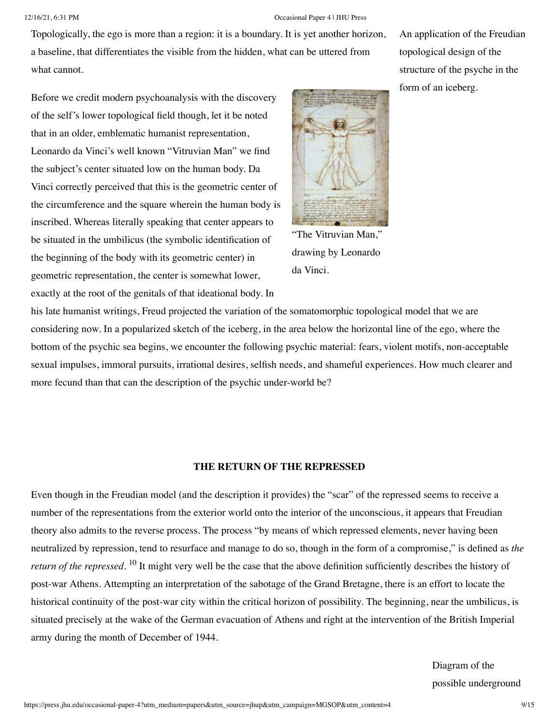Topologically, the ego is more than a region: it is a boundary. It is yet another horizon, a baseline, that differentiates the visible from the hidden, what can be uttered from what cannot.

Before we credit modern psychoanalysis with the discovery of the self's lower topological field though, let it be noted that in an older, emblematic humanist representation, Leonardo da Vinci's well known "Vitruvian Man" we find the subject's center situated low on the human body. Da Vinci correctly perceived that this is the geometric center of the circumference and the square wherein the human body is inscribed. Whereas literally speaking that center appears to be situated in the umbilicus (the symbolic identification of the beginning of the body with its geometric center) in geometric representation, the center is somewhat lower, exactly at the root of the genitals of that ideational body. In



drawing by Leonardo da Vinci.

his late humanist writings, Freud projected the variation of the somatomorphic topological model that we are considering now. In a popularized sketch of the iceberg, in the area below the horizontal line of the ego, where the bottom of the psychic sea begins, we encounter the following psychic material: fears, violent motifs, non-acceptable sexual impulses, immoral pursuits, irrational desires, selfish needs, and shameful experiences. How much clearer and more fecund than that can the description of the psychic under-world be?

# **THE RETURN OF THE REPRESSED**

Even though in the Freudian model (and the description it provides) the "scar" of the repressed seems to receive a number of the representations from the exterior world onto the interior of the unconscious, it appears that Freudian theory also admits to the reverse process. The process "by means of which repressed elements, never having been neutralized by repression, tend to resurface and manage to do so, though in the form of a compromise," is defined as *the return of the repressed*. <sup>[10](https://press.jhu.edu/occasional-paper-4?utm_medium=papers&utm_source=jhup&utm_campaign=MGSOP&utm_content=4#note10)</sup> It might very well be the case that the above definition sufficiently describes the history of post-war Athens. Attempting an interpretation of the sabotage of the Grand Bretagne, there is an effort to locate the historical continuity of the post-war city within the critical horizon of possibility. The beginning, near the umbilicus, is situated precisely at the wake of the German evacuation of Athens and right at the intervention of the British Imperial army during the month of December of 1944.

> Diagram of the possible underground

An application of the Freudian topological design of the structure of the psyche in the form of an iceberg.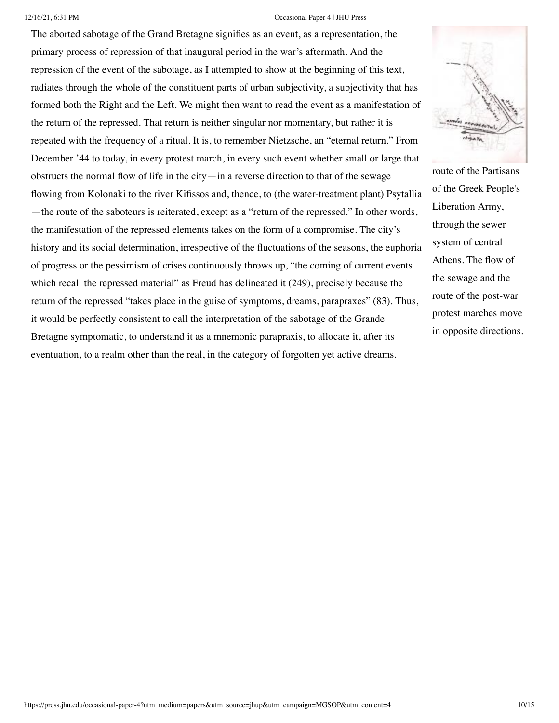The aborted sabotage of the Grand Bretagne signifies as an event, as a representation, the primary process of repression of that inaugural period in the war's aftermath. And the repression of the event of the sabotage, as I attempted to show at the beginning of this text, radiates through the whole of the constituent parts of urban subjectivity, a subjectivity that has formed both the Right and the Left. We might then want to read the event as a manifestation of the return of the repressed. That return is neither singular nor momentary, but rather it is repeated with the frequency of a ritual. It is, to remember Nietzsche, an "eternal return." From December '44 to today, in every protest march, in every such event whether small or large that obstructs the normal flow of life in the city—in a reverse direction to that of the sewage flowing from Kolonaki to the river Kifissos and, thence, to (the water-treatment plant) Psytallia —the route of the saboteurs is reiterated, except as a "return of the repressed." In other words, the manifestation of the repressed elements takes on the form of a compromise. The city's history and its social determination, irrespective of the fluctuations of the seasons, the euphoria of progress or the pessimism of crises continuously throws up, "the coming of current events which recall the repressed material" as Freud has delineated it (249), precisely because the return of the repressed "takes place in the guise of symptoms, dreams, parapraxes" (83). Thus, it would be perfectly consistent to call the interpretation of the sabotage of the Grande Bretagne symptomatic, to understand it as a mnemonic parapraxis, to allocate it, after its eventuation, to a realm other than the real, in the category of forgotten yet active dreams.



route of the Partisans of the Greek People's Liberation Army, through the sewer system of central Athens. The flow of the sewage and the route of the post-war protest marches move in opposite directions.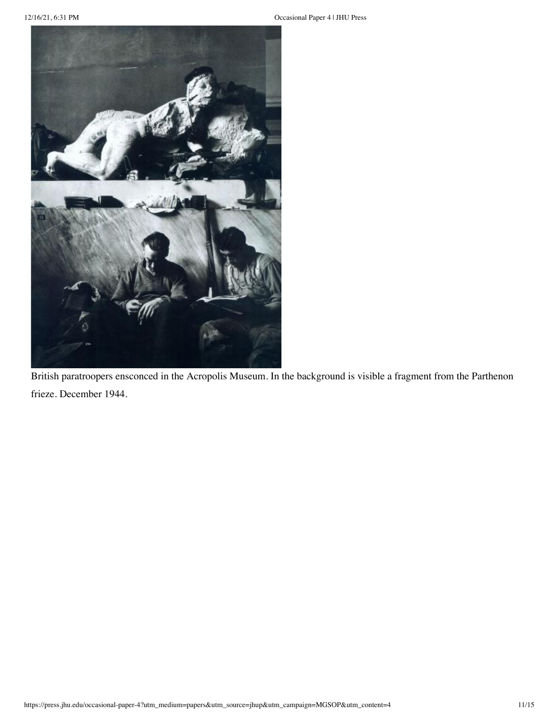

British paratroopers ensconced in the Acropolis Museum. In the background is visible a fragment from the Parthenon frieze. December 1944.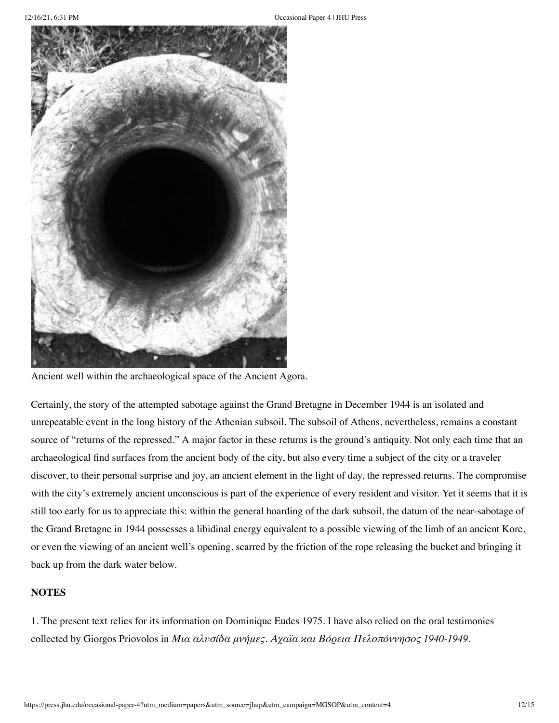

Ancient well within the archaeological space of the Ancient Agora.

Certainly, the story of the attempted sabotage against the Grand Bretagne in December 1944 is an isolated and unrepeatable event in the long history of the Athenian subsoil. The subsoil of Athens, nevertheless, remains a constant source of "returns of the repressed." A major factor in these returns is the ground's antiquity. Not only each time that an archaeological find surfaces from the ancient body of the city, but also every time a subject of the city or a traveler discover, to their personal surprise and joy, an ancient element in the light of day, the repressed returns. The compromise with the city's extremely ancient unconscious is part of the experience of every resident and visitor. Yet it seems that it is still too early for us to appreciate this: within the general hoarding of the dark subsoil, the datum of the near-sabotage of the Grand Bretagne in 1944 possesses a libidinal energy equivalent to a possible viewing of the limb of an ancient Kore, or even the viewing of an ancient well's opening, scarred by the friction of the rope releasing the bucket and bringing it back up from the dark water below.

# **NOTES**

1. The present text relies for its information on Dominique Eudes 1975. I have also relied on the oral testimonies collected by Giorgos Priovolos in *Μια αλυσίδα μνήμες. Αχαϊα και Βόρεια Πελοπόννησος 1940-1949*.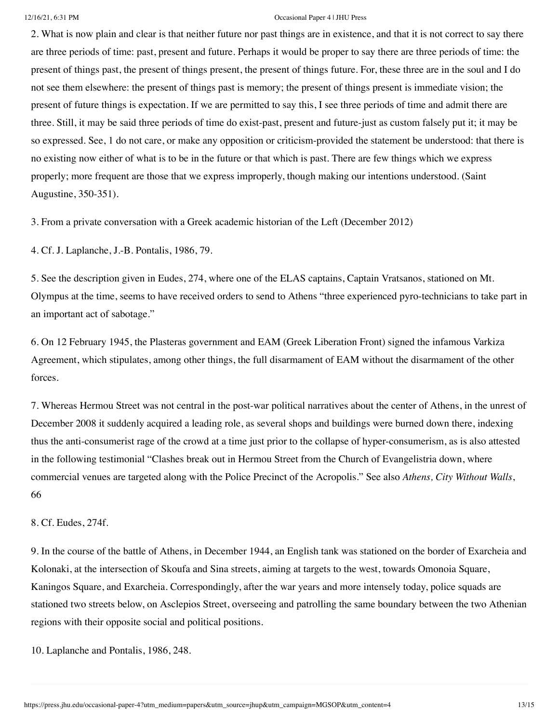2. What is now plain and clear is that neither future nor past things are in existence, and that it is not correct to say there are three periods of time: past, present and future. Perhaps it would be proper to say there are three periods of time: the present of things past, the present of things present, the present of things future. For, these three are in the soul and I do not see them elsewhere: the present of things past is memory; the present of things present is immediate vision; the present of future things is expectation. If we are permitted to say this, I see three periods of time and admit there are three. Still, it may be said three periods of time do exist-past, present and future-just as custom falsely put it; it may be so expressed. See, 1 do not care, or make any opposition or criticism-provided the statement be understood: that there is no existing now either of what is to be in the future or that which is past. There are few things which we express properly; more frequent are those that we express improperly, though making our intentions understood. (Saint Augustine, 350-351).

3. From a private conversation with a Greek academic historian of the Left (December 2012)

4. Cf. J. Laplanche, J.-B. Pontalis, 1986, 79.

5. See the description given in Eudes, 274, where one of the ELAS captains, Captain Vratsanos, stationed on Mt. Olympus at the time, seems to have received orders to send to Athens "three experienced pyro-technicians to take part in an important act of sabotage."

6. On 12 February 1945, the Plasteras government and EAM (Greek Liberation Front) signed the infamous Varkiza Agreement, which stipulates, among other things, the full disarmament of EAM without the disarmament of the other forces.

7. Whereas Hermou Street was not central in the post-war political narratives about the center of Athens, in the unrest of December 2008 it suddenly acquired a leading role, as several shops and buildings were burned down there, indexing thus the anti-consumerist rage of the crowd at a time just prior to the collapse of hyper-consumerism, as is also attested in the following testimonial "Clashes break out in Hermou Street from the Church of Evangelistria down, where commercial venues are targeted along with the Police Precinct of the Acropolis." See also *Athens, City Without Walls*, 66

8. Cf. Eudes, 274f.

9. In the course of the battle of Athens, in December 1944, an English tank was stationed on the border of Exarcheia and Kolonaki, at the intersection of Skoufa and Sina streets, aiming at targets to the west, towards Omonoia Square, Kaningos Square, and Exarcheia. Correspondingly, after the war years and more intensely today, police squads are stationed two streets below, on Asclepios Street, overseeing and patrolling the same boundary between the two Athenian regions with their opposite social and political positions.

10. Laplanche and Pontalis, 1986, 248.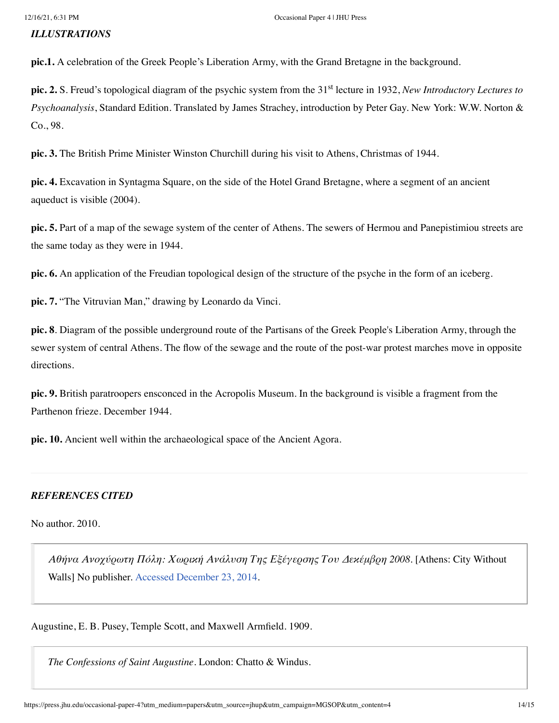## *ILLUSTRATIONS*

**pic.1.** A celebration of the Greek People's Liberation Army, with the Grand Bretagne in the background.

pic. 2. S. Freud's topological diagram of the psychic system from the 31<sup>st</sup> lecture in 1932, *New Introductory Lectures to Psychoanalysis*, Standard Edition. Translated by James Strachey, introduction by Peter Gay. New York: W.W. Norton & Co., 98.

**pic. 3.** The British Prime Minister Winston Churchill during his visit to Athens, Christmas of 1944.

**pic. 4.** Excavation in Syntagma Square, on the side of the Hotel Grand Bretagne, where a segment of an ancient aqueduct is visible (2004).

**pic. 5.** Part of a map of the sewage system of the center of Athens. The sewers of Hermou and Panepistimiou streets are the same today as they were in 1944.

**pic. 6.** An application of the Freudian topological design of the structure of the psyche in the form of an iceberg.

**pic. 7.** "The Vitruvian Man," drawing by Leonardo da Vinci.

**pic. 8**. Diagram of the possible underground route of the Partisans of the Greek People's Liberation Army, through the sewer system of central Athens. The flow of the sewage and the route of the post-war protest marches move in opposite directions.

**pic. 9.** British paratroopers ensconced in the Acropolis Museum. In the background is visible a fragment from the Parthenon frieze. December 1944.

**pic. 10.** Ancient well within the archaeological space of the Ancient Agora.

# *REFERENCES CITED*

No author. 2010.

*Αθήνα Ανοχύρωτη Πόλη: Χωρική Ανάλυση Της Εξέγερσης Του Δεκέμβρη 2008*. [Athens: City Without Walls] No publisher. [Accessed December 23, 2014.](https://www.academia.edu/4648617/%CE%91%CE%B8%CE%AE%CE%BD%CE%B1_%CE%91%CE%BD%CE%BF%CF%87%CF%8D%CF%81%CF%89%CF%84%CE%B7_%CE%A0%CF%8C%CE%BB%CE%B7_%CE%A7%CF%89%CF%81%CE%B9%CE%BA%CE%AE_%CE%91%CE%BD%CE%AC%CE%BB%CF%85CF%EF%BF%BD%CE%B7_%CF%84%CE%B7%CF%82_%CE%95%CE%BE%CE%AD%CE%B3%CE%B5%CF%81%CF%83%CE%B7%CF%82_%CF%84%CE%BF%CF%85_%CE%94%CE%B5%CE%BA%CE%AD%CE%BC%CE%B2%CF%81%CE%B7_2008)

Augustine, E. B. Pusey, Temple Scott, and Maxwell Armfield. 1909.

*The Confessions of Saint Augustine.* London: Chatto & Windus.